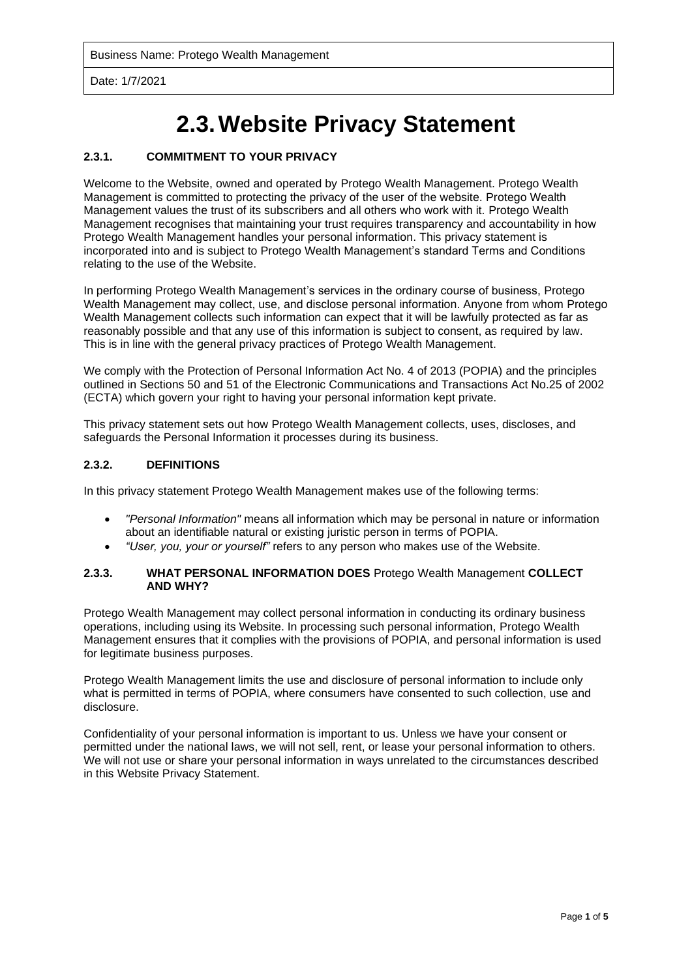Date: 1/7/2021

# **2.3.Website Privacy Statement**

# **2.3.1. COMMITMENT TO YOUR PRIVACY**

Welcome to the Website, owned and operated by Protego Wealth Management. Protego Wealth Management is committed to protecting the privacy of the user of the website. Protego Wealth Management values the trust of its subscribers and all others who work with it. Protego Wealth Management recognises that maintaining your trust requires transparency and accountability in how Protego Wealth Management handles your personal information. This privacy statement is incorporated into and is subject to Protego Wealth Management's standard Terms and Conditions relating to the use of the Website.

In performing Protego Wealth Management's services in the ordinary course of business, Protego Wealth Management may collect, use, and disclose personal information. Anyone from whom Protego Wealth Management collects such information can expect that it will be lawfully protected as far as reasonably possible and that any use of this information is subject to consent, as required by law. This is in line with the general privacy practices of Protego Wealth Management.

We comply with the Protection of Personal Information Act No. 4 of 2013 (POPIA) and the principles outlined in Sections 50 and 51 of the Electronic Communications and Transactions Act No.25 of 2002 (ECTA) which govern your right to having your personal information kept private.

This privacy statement sets out how Protego Wealth Management collects, uses, discloses, and safeguards the Personal Information it processes during its business.

#### **2.3.2. DEFINITIONS**

In this privacy statement Protego Wealth Management makes use of the following terms:

- *"Personal Information"* means all information which may be personal in nature or information about an identifiable natural or existing juristic person in terms of POPIA.
- *"User, you, your or yourself"* refers to any person who makes use of the Website.

#### **2.3.3. WHAT PERSONAL INFORMATION DOES** Protego Wealth Management **COLLECT AND WHY?**

Protego Wealth Management may collect personal information in conducting its ordinary business operations, including using its Website. In processing such personal information, Protego Wealth Management ensures that it complies with the provisions of POPIA, and personal information is used for legitimate business purposes.

Protego Wealth Management limits the use and disclosure of personal information to include only what is permitted in terms of POPIA, where consumers have consented to such collection, use and disclosure.

Confidentiality of your personal information is important to us. Unless we have your consent or permitted under the national laws, we will not sell, rent, or lease your personal information to others. We will not use or share your personal information in ways unrelated to the circumstances described in this Website Privacy Statement.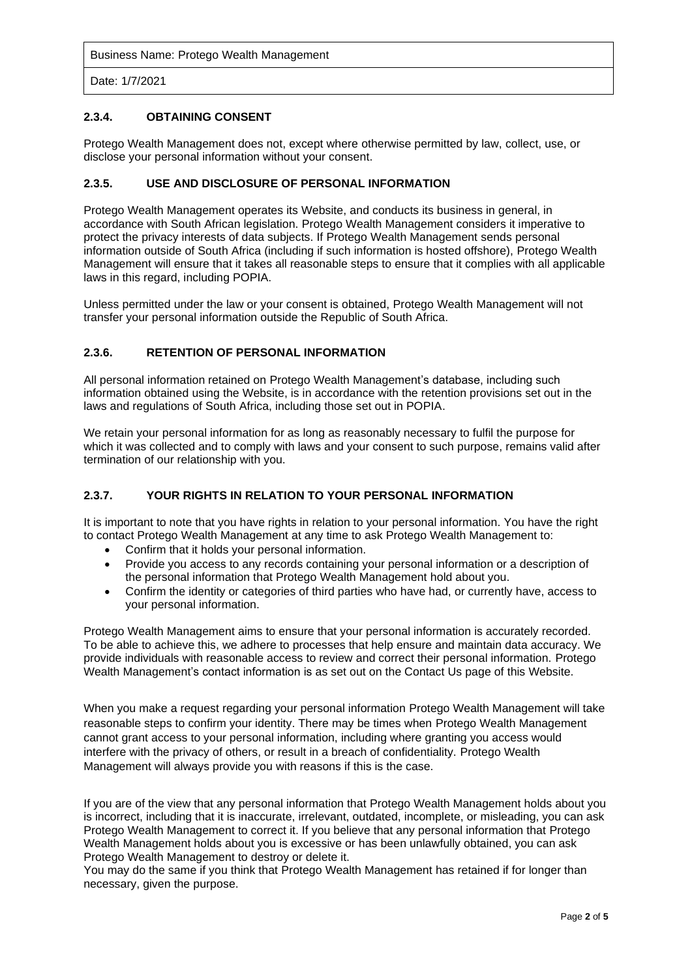Date: 1/7/2021

# **2.3.4. OBTAINING CONSENT**

Protego Wealth Management does not, except where otherwise permitted by law, collect, use, or disclose your personal information without your consent.

# **2.3.5. USE AND DISCLOSURE OF PERSONAL INFORMATION**

Protego Wealth Management operates its Website, and conducts its business in general, in accordance with South African legislation. Protego Wealth Management considers it imperative to protect the privacy interests of data subjects. If Protego Wealth Management sends personal information outside of South Africa (including if such information is hosted offshore), Protego Wealth Management will ensure that it takes all reasonable steps to ensure that it complies with all applicable laws in this regard, including POPIA.

Unless permitted under the law or your consent is obtained, Protego Wealth Management will not transfer your personal information outside the Republic of South Africa.

# **2.3.6. RETENTION OF PERSONAL INFORMATION**

All personal information retained on Protego Wealth Management's database, including such information obtained using the Website, is in accordance with the retention provisions set out in the laws and regulations of South Africa, including those set out in POPIA.

We retain your personal information for as long as reasonably necessary to fulfil the purpose for which it was collected and to comply with laws and your consent to such purpose, remains valid after termination of our relationship with you.

# **2.3.7. YOUR RIGHTS IN RELATION TO YOUR PERSONAL INFORMATION**

It is important to note that you have rights in relation to your personal information. You have the right to contact Protego Wealth Management at any time to ask Protego Wealth Management to:

- Confirm that it holds your personal information.
- Provide you access to any records containing your personal information or a description of the personal information that Protego Wealth Management hold about you.
- Confirm the identity or categories of third parties who have had, or currently have, access to your personal information.

Protego Wealth Management aims to ensure that your personal information is accurately recorded. To be able to achieve this, we adhere to processes that help ensure and maintain data accuracy. We provide individuals with reasonable access to review and correct their personal information. Protego Wealth Management's contact information is as set out on the Contact Us page of this Website.

When you make a request regarding your personal information Protego Wealth Management will take reasonable steps to confirm your identity. There may be times when Protego Wealth Management cannot grant access to your personal information, including where granting you access would interfere with the privacy of others, or result in a breach of confidentiality. Protego Wealth Management will always provide you with reasons if this is the case.

If you are of the view that any personal information that Protego Wealth Management holds about you is incorrect, including that it is inaccurate, irrelevant, outdated, incomplete, or misleading, you can ask Protego Wealth Management to correct it. If you believe that any personal information that Protego Wealth Management holds about you is excessive or has been unlawfully obtained, you can ask Protego Wealth Management to destroy or delete it.

You may do the same if you think that Protego Wealth Management has retained if for longer than necessary, given the purpose.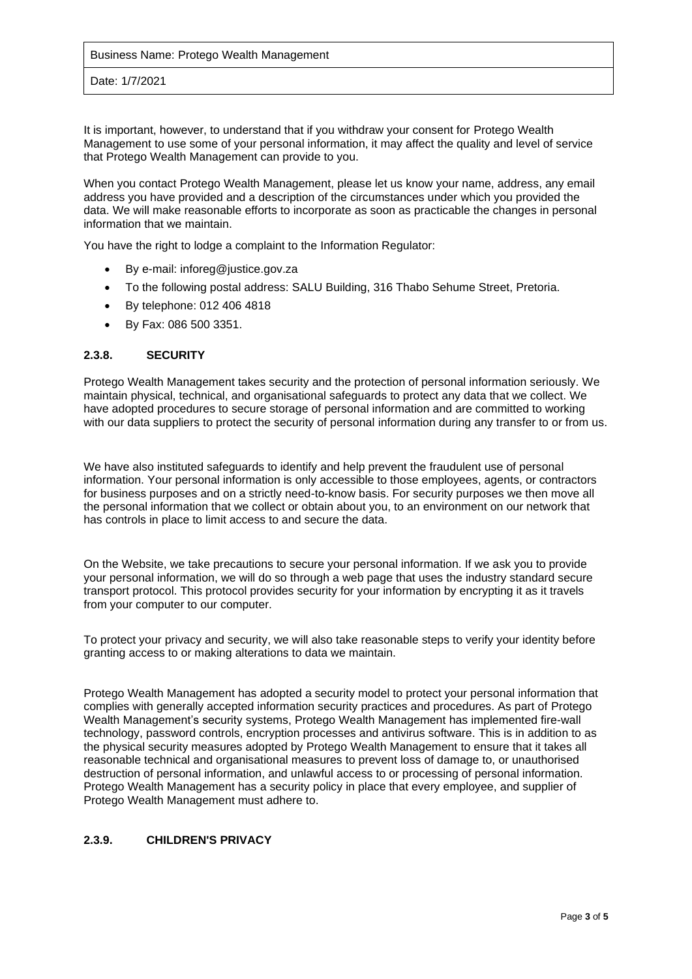Date: 1/7/2021

It is important, however, to understand that if you withdraw your consent for Protego Wealth Management to use some of your personal information, it may affect the quality and level of service that Protego Wealth Management can provide to you.

When you contact Protego Wealth Management, please let us know your name, address, any email address you have provided and a description of the circumstances under which you provided the data. We will make reasonable efforts to incorporate as soon as practicable the changes in personal information that we maintain.

You have the right to lodge a complaint to the Information Regulator:

- By e-mail: inforeg@justice.gov.za
- To the following postal address: SALU Building, 316 Thabo Sehume Street, Pretoria.
- By telephone: 012 406 4818
- By Fax: 086 500 3351.

#### **2.3.8. SECURITY**

Protego Wealth Management takes security and the protection of personal information seriously. We maintain physical, technical, and organisational safeguards to protect any data that we collect. We have adopted procedures to secure storage of personal information and are committed to working with our data suppliers to protect the security of personal information during any transfer to or from us.

We have also instituted safeguards to identify and help prevent the fraudulent use of personal information. Your personal information is only accessible to those employees, agents, or contractors for business purposes and on a strictly need-to-know basis. For security purposes we then move all the personal information that we collect or obtain about you, to an environment on our network that has controls in place to limit access to and secure the data.

On the Website, we take precautions to secure your personal information. If we ask you to provide your personal information, we will do so through a web page that uses the industry standard secure transport protocol. This protocol provides security for your information by encrypting it as it travels from your computer to our computer.

To protect your privacy and security, we will also take reasonable steps to verify your identity before granting access to or making alterations to data we maintain.

Protego Wealth Management has adopted a security model to protect your personal information that complies with generally accepted information security practices and procedures. As part of Protego Wealth Management's security systems, Protego Wealth Management has implemented fire-wall technology, password controls, encryption processes and antivirus software. This is in addition to as the physical security measures adopted by Protego Wealth Management to ensure that it takes all reasonable technical and organisational measures to prevent loss of damage to, or unauthorised destruction of personal information, and unlawful access to or processing of personal information. Protego Wealth Management has a security policy in place that every employee, and supplier of Protego Wealth Management must adhere to.

# **2.3.9. CHILDREN'S PRIVACY**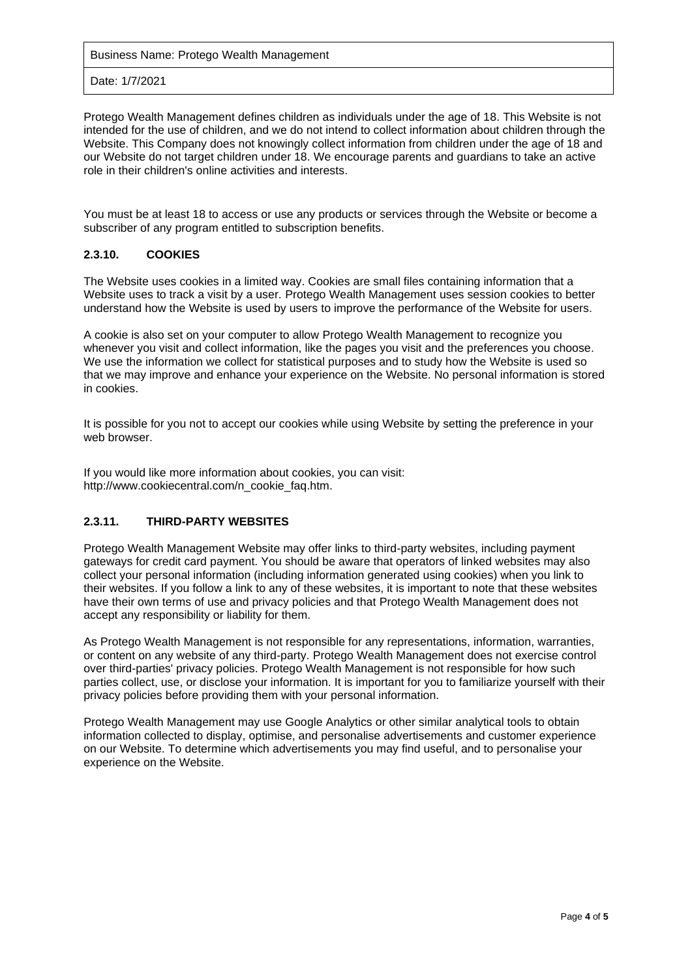Date: 1/7/2021

Protego Wealth Management defines children as individuals under the age of 18. This Website is not intended for the use of children, and we do not intend to collect information about children through the Website. This Company does not knowingly collect information from children under the age of 18 and our Website do not target children under 18. We encourage parents and guardians to take an active role in their children's online activities and interests.

You must be at least 18 to access or use any products or services through the Website or become a subscriber of any program entitled to subscription benefits.

# **2.3.10. COOKIES**

The Website uses cookies in a limited way. Cookies are small files containing information that a Website uses to track a visit by a user. Protego Wealth Management uses session cookies to better understand how the Website is used by users to improve the performance of the Website for users.

A cookie is also set on your computer to allow Protego Wealth Management to recognize you whenever you visit and collect information, like the pages you visit and the preferences you choose. We use the information we collect for statistical purposes and to study how the Website is used so that we may improve and enhance your experience on the Website. No personal information is stored in cookies.

It is possible for you not to accept our cookies while using Website by setting the preference in your web browser.

If you would like more information about cookies, you can visit: http://www.cookiecentral.com/n\_cookie\_faq.htm.

# **2.3.11. THIRD-PARTY WEBSITES**

Protego Wealth Management Website may offer links to third-party websites, including payment gateways for credit card payment. You should be aware that operators of linked websites may also collect your personal information (including information generated using cookies) when you link to their websites. If you follow a link to any of these websites, it is important to note that these websites have their own terms of use and privacy policies and that Protego Wealth Management does not accept any responsibility or liability for them.

As Protego Wealth Management is not responsible for any representations, information, warranties, or content on any website of any third-party. Protego Wealth Management does not exercise control over third-parties' privacy policies. Protego Wealth Management is not responsible for how such parties collect, use, or disclose your information. It is important for you to familiarize yourself with their privacy policies before providing them with your personal information.

Protego Wealth Management may use Google Analytics or other similar analytical tools to obtain information collected to display, optimise, and personalise advertisements and customer experience on our Website. To determine which advertisements you may find useful, and to personalise your experience on the Website.